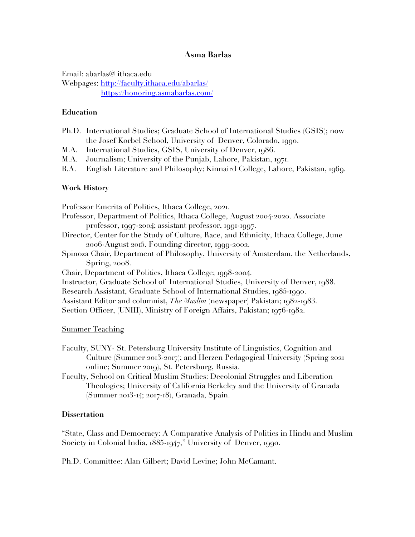# **Asma Barlas**

Email: abarlas@ ithaca.edu Webpages: http://faculty.ithaca.edu/abarlas/ https://honoring.asmabarlas.com/

## **Education**

- Ph.D. International Studies; Graduate School of International Studies (GSIS); now the Josef Korbel School, University of Denver, Colorado, 1990.
- M.A. International Studies, GSIS, University of Denver, 1986.
- M.A. Journalism; University of the Punjab, Lahore, Pakistan, 1971.

B.A. English Literature and Philosophy; Kinnaird College, Lahore, Pakistan, 1969.

## **Work History**

Professor Emerita of Politics, Ithaca College, 2021. Professor, Department of Politics, Ithaca College, August 2004-2020. Associate professor, 1997-2004; assistant professor, 1991-1997. Director, Center for the Study of Culture, Race, and Ethnicity, Ithaca College, June 2006-August 2015. Founding director, 1999-2002. Spinoza Chair, Department of Philosophy, University of Amsterdam, the Netherlands, Spring, 2008. Chair, Department of Politics, Ithaca College; 1998-2004. Instructor, Graduate School of International Studies, University of Denver, 1988. Research Assistant, Graduate School of International Studies, 1985-1990. Assistant Editor and columnist, *The Muslim* (newspaper) Pakistan; 1982-1983. Section Officer, (UNIII), Ministry of Foreign Affairs, Pakistan; 1976-1982.

## Summer Teaching

- Faculty, SUNY- St. Petersburg University Institute of Linguistics, Cognition and Culture (Summer 2013-2017); and Herzen Pedagogical University (Spring 2021 online; Summer 2019), St. Petersburg, Russia.
- Faculty, School on Critical Muslim Studies: Decolonial Struggles and Liberation Theologies; University of California Berkeley and the University of Granada (Summer 2013-14; 2017-18), Granada, Spain.

## **Dissertation**

"State, Class and Democracy: A Comparative Analysis of Politics in Hindu and Muslim Society in Colonial India, 1885-1947," University of Denver, 1990.

Ph.D. Committee: Alan Gilbert; David Levine; John McCamant.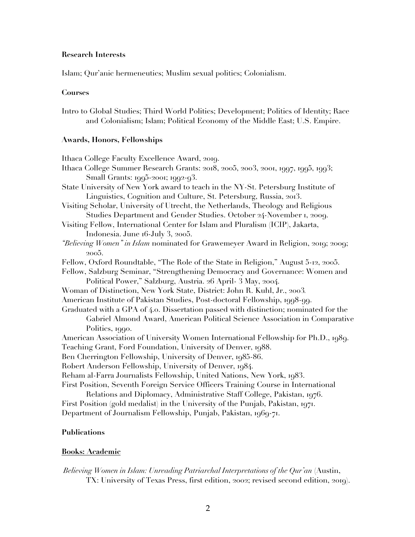## **Research Interests**

Islam; Qur'anic hermeneutics; Muslim sexual politics; Colonialism.

## **Courses**

Intro to Global Studies; Third World Politics; Development; Politics of Identity; Race and Colonialism; Islam; Political Economy of the Middle East; U.S. Empire.

## **Awards, Honors, Fellowships**

| Ithaca College Faculty Excellence Award, 2019.                                              |
|---------------------------------------------------------------------------------------------|
| Ithaca College Summer Research Grants: 2018, 2005, 2003, 2001, 1997, 1995, 1993;            |
| Small Grants: 1995-2001; 1992-93.                                                           |
| State University of New York award to teach in the NY-St. Petersburg Institute of           |
| Linguistics, Cognition and Culture, St. Petersburg, Russia, 2013.                           |
| Visiting Scholar, University of Utrecht, the Netherlands, Theology and Religious            |
| Studies Department and Gender Studies. October 24-November 1, 2009.                         |
| Visiting Fellow, International Center for Islam and Pluralism (ICIP), Jakarta,              |
| Indonesia. June 16-July 3, 2005.                                                            |
| "Believing Women" in Islam nominated for Grawemeyer Award in Religion, 2019; 2009;<br>2005. |
| Fellow, Oxford Roundtable, "The Role of the State in Religion," August 5-12, 2005.          |
| Fellow, Salzburg Seminar, "Strengthening Democracy and Governance: Women and                |
| Political Power," Salzburg, Austria. 26 April- 3 May, 2004.                                 |
| Woman of Distinction, New York State, District: John R. Kuhl, Jr., 2003.                    |
| American Institute of Pakistan Studies, Post-doctoral Fellowship, 1998-99.                  |
| Graduated with a GPA of 4.0. Dissertation passed with distinction; nominated for the        |
| Gabriel Almond Award, American Political Science Association in Comparative                 |
| Politics, 1990.                                                                             |
| American Association of University Women International Fellowship for Ph.D., 1989.          |
| Teaching Grant, Ford Foundation, University of Denver, 1988.                                |
| Ben Cherrington Fellowship, University of Denver, 1985-86.                                  |
| Robert Anderson Fellowship, University of Denver, 1984.                                     |
| Reham al-Farra Journalists Fellowship, United Nations, New York, 1983.                      |
| First Position, Seventh Foreign Service Officers Training Course in International           |
| Relations and Diplomacy, Administrative Staff College, Pakistan, 1976.                      |
| First Position (gold medalist) in the University of the Punjab, Pakistan, 1971.             |
| Department of Journalism Fellowship, Punjab, Pakistan, 1969-71.                             |

# **Publications**

## **Books: Academic**

*Believing Women in Islam: Unreading Patriarchal Interpretations of the Qur'an* (Austin, TX: University of Texas Press, first edition, 2002; revised second edition, 2019).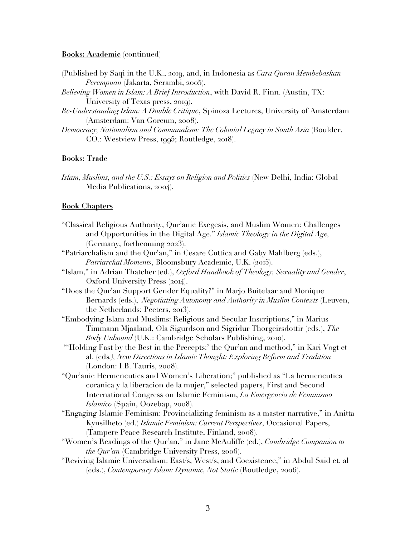#### **Books: Academic** (continued)

- (Published by Saqi in the U.K., 2019, and, in Indonesia as *Cara Quran Membebaskan Perempuan* (Jakarta, Serambi, 2005).
- *Believing Women in Islam: A Brief Introduction*, with David R. Finn. (Austin, TX: University of Texas press, 2019).
- *Re-Understanding Islam: A Double Critique*, Spinoza Lectures, University of Amsterdam (Amsterdam: Van Gorcum, 2008).
- *Democracy, Nationalism and Communalism: The Colonial Legacy in South Asia* (Boulder, CO.: Westview Press, 1995; Routledge, 2018).

## **Books: Trade**

*Islam, Muslims, and the U.S.: Essays on Religion and Politics* (New Delhi, India: Global Media Publications, 2004).

#### **Book Chapters**

- "Classical Religious Authority, Qur'anic Exegesis, and Muslim Women: Challenges and Opportunities in the Digital Age." *Islamic Theology in the Digital Age,* (Germany, forthcoming 2023).
- "Patriarchalism and the Qur'an," in Cesare Cuttica and Gaby Mahlberg (eds.), Patriarchal Moments, Bloomsbury Academic, U.K. (2015).
- "Islam," in Adrian Thatcher (ed.), *Oxford Handbook of Theology, Sexuality and Gender*, Oxford University Press (2014).
- "Does the Qur'an Support Gender Equality?" in Marjo Buitelaar and Monique Bernards (eds.), *Negotiating Autonomy and Authority in Muslim Contexts* (Leuven, the Netherlands: Peeters, 2013).
- "Embodying Islam and Muslims: Religious and Secular Inscriptions," in Marius Timmann Mjaaland, Ola Sigurdson and Sigridur Thorgeirsdottir (eds.), *The Body Unbound* (U.K.: Cambridge Scholars Publishing, 2010).
- "'Holding Fast by the Best in the Precepts:' the Qur'an and method," in Kari Vogt et al. (eds*.), New Directions in Islamic Thought: Exploring Reform and Tradition* (London: I.B. Tauris, 2008).
- "Qur'anic Hermeneutics and Women's Liberation;" published as "La hermeneutica coranica y la liberacion de la mujer," selected papers, First and Second International Congress on Islamic Feminism, *La Emergencia de Feminismo Islamico* (Spain, Oozebap, 2008).
- "Engaging Islamic Feminism: Provincializing feminism as a master narrative," in Anitta Kynsilheto (ed.) *Islamic Feminism: Current Perspectives*, Occasional Papers, (Tampere Peace Research Institute, Finland, 2008).
- "Women's Readings of the Qur'an," in Jane McAuliffe (ed.), *Cambridge Companion to the Qur'an* (Cambridge University Press, 2006).
- "Reviving Islamic Universalism: East/s, West/s, and Coexistence," in Abdul Said et. al (eds.), *Contemporary Islam: Dynamic, Not Static* (Routledge, 2006).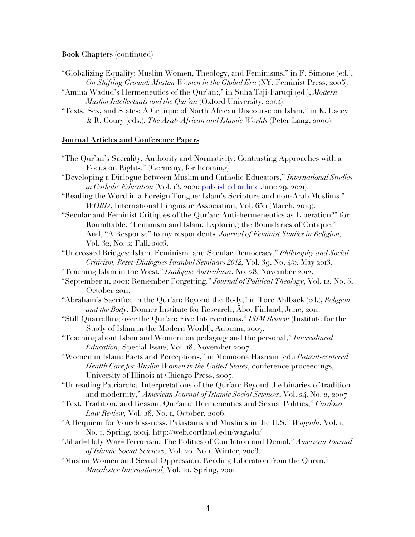**Book Chapters** (continued)

- "Globalizing Equality: Muslim Women, Theology, and Feminisms," in F. Simone (ed.), *On Shifting Ground: Muslim Women in the Global Era* (NY: Feminist Press, 2005).
- "Amina Wadud's Hermeneutics of the Qur'an:," in Suha Taji-Faruqi (ed.), *Modern Muslim Intellectuals and the Qur'an* (Oxford University, 2004).
- "Texts, Sex, and States: A Critique of North African Discourse on Islam," in K. Lacey & R. Coury (eds.), *The Arab-African and Islamic Worlds* (Peter Lang, 2000).

## **Journal Articles and Conference Papers**

- "The Qur'an's Sacrality, Authority and Normativity: Contrasting Approaches with a Focus on Rights." (Germany, forthcoming).
- "Developing a Dialogue between Muslim and Catholic Educators," *International Studies in Catholic Education* (Vol. 13, 2021; published online June 29, 2021).
- "Reading the Word in a Foreign Tongue: Islam's Scripture and non-Arab Muslims," *WORD*, International Linguistic Association, Vol. 65.1 (March, 2019).
- "Secular and Feminist Critiques of the Qur'an: Anti-hermeneutics as Liberation?" for Roundtable: "Feminism and Islam: Exploring the Boundaries of Critique." And, "A Response" to my respondents, *Journal of Feminist Studies in Religion,* Vol. 32, No. 2; Fall, 2016.
- "Uncrossed Bridges: Islam, Feminism, and Secular Democracy," *Philosophy and Social Criticism, Reset-Dialogues Istanbul Seminars 2012,* Vol. 39, No. 4/5, May 2013.
- "Teaching Islam in the West," *Dialogue Australasia*, No. 28, November 2012.
- "September 11, 2001: Remember Forgetting," *Journal of Political Theology*, Vol. 12, No. 5, October 2011.
- "Abraham's Sacrifice in the Qur'an: Beyond the Body," in Tore Ahlback (ed.), *Religion and the Body*, Donner Institute for Research, Åbo, Finland, June, 2011.
- "Still Quarrelling over the Qur'an: Five Interventions," *ISIM Review* (Institute for the Study of Islam in the Modern World), Autumn, 2007.
- "Teaching about Islam and Women: on pedagogy and the personal," *Intercultural Education*, Special Issue, Vol. 18, November 2007.
- "Women in Islam: Facts and Perceptions," in Memoona Hasnain (ed.) *Patient-centered Health Care for Muslim Women in the United States*, conference proceedings, University of Illinois at Chicago Press, 2007.
- "Unreading Patriarchal Interpretations of the Qur'an: Beyond the binaries of tradition and modernity," *American Journal of Islamic Social Sciences*, Vol. 24, No. 2, 2007.
- "Text, Tradition, and Reason: Qur'anic Hermeneutics and Sexual Politics," *Cardozo Law Review,* Vol. 28, No. 1, October, 2006.
- "A Requiem for Voiceless-ness: Pakistanis and Muslims in the U.S." *Wagadu*, Vol. 1, No. 1, Spring, 2004. http://web.cortland.edu/wagadu/
- "Jihad=Holy War=Terrorism: The Politics of Conflation and Denial," *American Journal of Islamic Social Sciences,* Vol. 20, No.1, Winter, 2003.
- "Muslim Women and Sexual Oppression: Reading Liberation from the Quran," *Macalester International,* Vol. 10, Spring, 2001.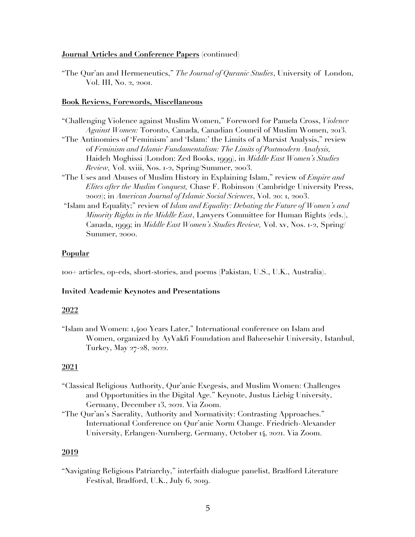## **Journal Articles and Conference Papers** (continued)

"The Qur'an and Hermeneutics," *The Journal of Quranic Studies*, University of London, Vol. III, No. 2, 2001.

#### **Book Reviews, Forewords, Miscellaneous**

- "Challenging Violence against Muslim Women," Foreword for Pamela Cross, *Violence Against Women:* Toronto, Canada, Canadian Council of Muslim Women, 2013. "The Antinomies of 'Feminism' and 'Islam:' the Limits of a Marxist Analysis," review of *Feminism and Islamic Fundamentalism: The Limits of Postmodern Analysis,* Haideh Moghissi (London: Zed Books, 1999), in *Middle East Women's Studies Review,* Vol. xviii, Nos. 1-2, Spring/Summer, 2003.
- "The Uses and Abuses of Muslim History in Explaining Islam," review of *Empire and Elites after the Muslim Conquest,* Chase F. Robinson (Cambridge University Press, 2002); in *American Journal of Islamic Social Sciences*, Vol. 20: 1, 2003.
- "Islam and Equality;" review of *Islam and Equality: Debating the Future of Women's and Minority Rights in the Middle East*, Lawyers Committee for Human Rights (eds.), Canada, 1999; in *Middle East Women's Studies Review,* Vol. xv, Nos. 1-2, Spring/ Summer, 2000.

## **Popular**

100+ articles, op-eds, short-stories, and poems (Pakistan, U.S., U.K., Australia).

## **Invited Academic Keynotes and Presentations**

## **2022**

"Islam and Women: 1,400 Years Later," International conference on Islam and Women, organized by AyVakfi Foundation and Bahcesehir University, Istanbul, Turkey, May 27-28, 2022.

## **2021**

- "Classical Religious Authority, Qur'anic Exegesis, and Muslim Women: Challenges and Opportunities in the Digital Age." Keynote, Justus Liebig University, Germany, December 13, 2021. Via Zoom.
- "The Qur'an's Sacrality, Authority and Normativity: Contrasting Approaches." International Conference on Qur'anic Norm Change. Friedrich-Alexander University, Erlangen-Nurnberg, Germany, October 14, 2021. Via Zoom.

## **2019**

"Navigating Religious Patriarchy," interfaith dialogue panelist, Bradford Literature Festival, Bradford, U.K., July 6, 2019.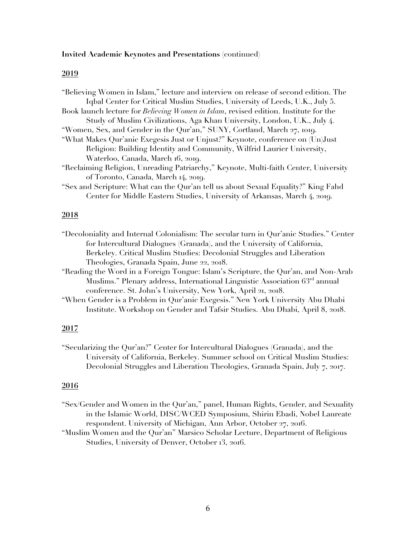#### **2019**

| "Believing Women in Islam," lecture and interview on release of second edition. The          |
|----------------------------------------------------------------------------------------------|
| Iqbal Center for Critical Muslim Studies, University of Leeds, U.K., July 5.                 |
| Book launch lecture for <i>Believing Women in Islam</i> , revised edition. Institute for the |
| Study of Muslim Civilizations, Aga Khan University, London, U.K., July 4.                    |
| "Women, Sex, and Gender in the Qur'an," SUNY, Cortland, March 27, 1019.                      |
| "What Makes Qur'anic Exegesis Just or Unjust?" Keynote, conference on (Un)Just               |
| Religion: Building Identity and Community, Wilfrid Laurier University,                       |
| Waterloo, Canada, March 16, 2019.                                                            |
| "Reclaiming Religion, Unreading Patriarchy," Keynote, Multi-faith Center, University         |
| of Toronto, Canada, March 14, 2019.                                                          |
| "Sex and Scripture: What can the Qur'an tell us about Sexual Equality?" King Fahd            |
| Center for Middle Eastern Studies, University of Arkansas, March 4, 2019.                    |
|                                                                                              |

#### **2018**

- "Decoloniality and Internal Colonialism: The secular turn in Qur'anic Studies." Center for Intercultural Dialogues (Granada), and the University of California, Berkeley. Critical Muslim Studies: Decolonial Struggles and Liberation Theologies, Granada Spain, June 22, 2018.
- "Reading the Word in a Foreign Tongue: Islam's Scripture, the Qur'an, and Non-Arab Muslims." Plenary address, International Linguistic Association 63rd annual conference. St. John's University, New York, April 21, 2018.
- "When Gender is a Problem in Qur'anic Exegesis." New York University Abu Dhabi Institute. Workshop on Gender and Tafsir Studies. Abu Dhabi, April 8, 2018.

# **2017**

"Secularizing the Qur'an?" Center for Intercultural Dialogues (Granada), and the University of California, Berkeley. Summer school on Critical Muslim Studies: Decolonial Struggles and Liberation Theologies, Granada Spain, July 7, 2017.

- "Sex/Gender and Women in the Qur'an," panel, Human Rights, Gender, and Sexuality in the Islamic World, DISC/WCED Symposium, Shirin Ebadi, Nobel Laureate respondent. University of Michigan, Ann Arbor, October 27, 2016.
- "Muslim Women and the Qur'an" Marsico Scholar Lecture, Department of Religious Studies, University of Denver, October 13, 2016.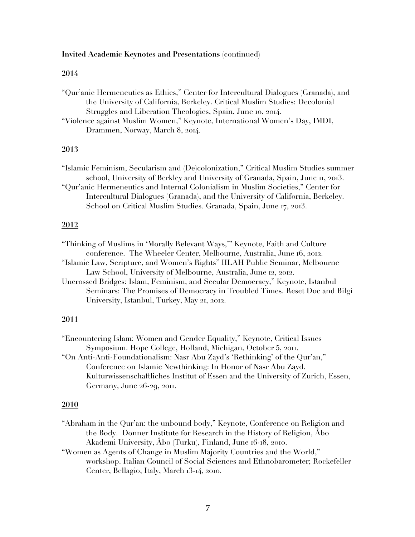#### **2014**

"Qur'anic Hermeneutics as Ethics," Center for Intercultural Dialogues (Granada), and the University of California, Berkeley. Critical Muslim Studies: Decolonial Struggles and Liberation Theologies, Spain, June 10, 2014.

"Violence against Muslim Women," Keynote, International Women's Day, IMDI, Drammen, Norway, March 8, 2014.

## **2013**

"Islamic Feminism, Secularism and (De)colonization," Critical Muslim Studies summer school, University of Berkley and University of Granada, Spain, June 11, 2013. "Qur'anic Hermeneutics and Internal Colonialism in Muslim Societies," Center for Intercultural Dialogues (Granada), and the University of California, Berkeley. School on Critical Muslim Studies. Granada, Spain, June 17, 2013.

## **2012**

"Thinking of Muslims in 'Morally Relevant Ways,'" Keynote, Faith and Culture conference. The Wheeler Center, Melbourne, Australia, June 16, 2012. "Islamic Law, Scripture, and Women's Rights" IILAH Public Seminar, Melbourne Law School, University of Melbourne, Australia, June 12, 2012. Uncrossed Bridges: Islam, Feminism, and Secular Democracy," Keynote, Istanbul Seminars: The Promises of Democracy in Troubled Times. Reset Doc and Bilgi

"Encountering Islam: Women and Gender Equality," Keynote, Critical Issues Symposium. Hope College, Holland, Michigan, October 5, 2011.

University, Istanbul, Turkey, May 21, 2012.

"On Anti-Anti-Foundationalism: Nasr Abu Zayd's 'Rethinking' of the Qur'an," Conference on Islamic Newthinking: In Honor of Nasr Abu Zayd. Kulturwissenschaftliches Institut of Essen and the University of Zurich, Essen, Germany, June 26-29, 2011.

#### **2010**

- "Abraham in the Qur'an: the unbound body," Keynote, Conference on Religion and the Body. Donner Institute for Research in the History of Religion, Åbo Akademi University, Åbo (Turku), Finland, June 16-18, 2010.
- "Women as Agents of Change in Muslim Majority Countries and the World," workshop. Italian Council of Social Sciences and Ethnobarometer; Rockefeller Center, Bellagio, Italy, March 13-14, 2010.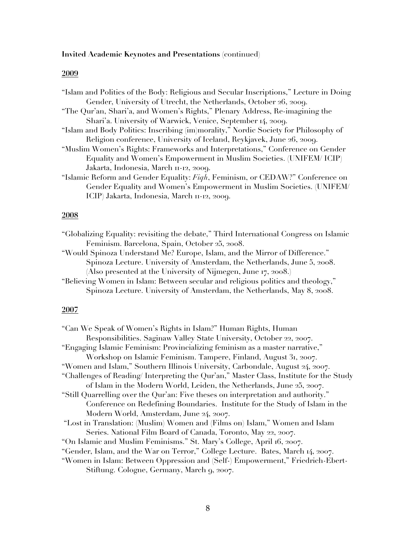## **2009**

## **2008**

| "Globalizing Equality: revisiting the debate," Third International Congress on Islamic |  |
|----------------------------------------------------------------------------------------|--|
| Feminism. Barcelona, Spain, October 25, 2008.                                          |  |

"Would Spinoza Understand Me? Europe, Islam, and the Mirror of Difference." Spinoza Lecture. University of Amsterdam, the Netherlands, June 5, 2008. (Also presented at the University of Nijmegen, June 17, 2008.)

"Believing Women in Islam: Between secular and religious politics and theology," Spinoza Lecture. University of Amsterdam, the Netherlands, May 8, 2008.

| "Can We Speak of Women's Rights in Islam?" Human Rights, Human                         |
|----------------------------------------------------------------------------------------|
| Responsibilities. Saginaw Valley State University, October 22, 2007.                   |
| "Engaging Islamic Feminism: Provincializing feminism as a master narrative,"           |
| Workshop on Islamic Feminism. Tampere, Finland, August 31, 2007.                       |
| "Women and Islam," Southern Illinois University, Carbondale, August 24, 2007.          |
| "Challenges of Reading/Interpreting the Qur'an," Master Class, Institute for the Study |
| of Islam in the Modern World, Leiden, the Netherlands, June 25, 2007.                  |
| "Still Quarrelling over the Qur'an: Five theses on interpretation and authority."      |
| Conference on Redefining Boundaries. Institute for the Study of Islam in the           |
| Modern World, Amsterdam, June 24, 2007.                                                |
| "Lost in Translation: (Muslim) Women and (Films on) Islam," Women and Islam            |
| Series. National Film Board of Canada, Toronto, May 22, 2007.                          |
| "On Islamic and Muslim Feminisms." St. Mary's College, April 16, 2007.                 |
| "Gender, Islam, and the War on Terror," College Lecture. Bates, March 14, 2007.        |
| "Women in Islam: Between Oppression and (Self-) Empowerment," Friedrich-Ebert-         |
| Stiftung. Cologne, Germany, March 9, 2007.                                             |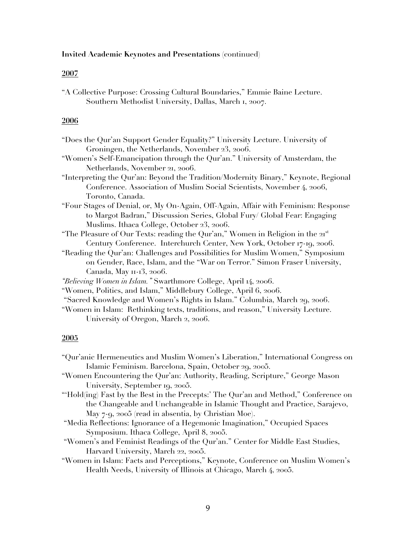#### **2007**

"A Collective Purpose: Crossing Cultural Boundaries," Emmie Baine Lecture. Southern Methodist University, Dallas, March 1, 2007.

## **2006**

- "Does the Qur'an Support Gender Equality?" University Lecture. University of Groningen, the Netherlands, November 23, 2006.
- "Women's Self-Emancipation through the Qur'an." University of Amsterdam, the Netherlands, November 21, 2006.
- "Interpreting the Qur'an: Beyond the Tradition/Modernity Binary," Keynote, Regional Conference. Association of Muslim Social Scientists, November 4, 2006, Toronto, Canada.
- "Four Stages of Denial, or, My On-Again, Off-Again, Affair with Feminism: Response to Margot Badran," Discussion Series, Global Fury/ Global Fear: Engaging Muslims. Ithaca College, October 23, 2006.
- "The Pleasure of Our Texts: reading the Qur'an," Women in Religion in the  $2I<sup>st</sup>$ Century Conference. Interchurch Center, New York, October 17-19, 2006.
- "Reading the Qur'an: Challenges and Possibilities for Muslim Women," Symposium on Gender, Race, Islam, and the "War on Terror." Simon Fraser University, Canada, May 11-13, 2006.
- *"Believing Women in Islam."* Swarthmore College, April 14, 2006.
- "Women, Politics, and Islam," Middlebury College, April 6, 2006.
- "Sacred Knowledge and Women's Rights in Islam." Columbia, March 29, 2006.
- "Women in Islam: Rethinking texts, traditions, and reason," University Lecture. University of Oregon, March 2, 2006.

- "Qur'anic Hermeneutics and Muslim Women's Liberation," International Congress on Islamic Feminism. Barcelona, Spain, October 29, 2005.
- "Women Encountering the Qur'an: Authority, Reading, Scripture," George Mason University, September 19, 2005.
- "'Hold(ing) Fast by the Best in the Precepts:' The Qur'an and Method," Conference on the Changeable and Unchangeable in Islamic Thought and Practice, Sarajevo, May 7-9, 2005 (read in absentia, by Christian Moe).
- "Media Reflections: Ignorance of a Hegemonic Imagination," Occupied Spaces Symposium. Ithaca College, April 8, 2005.
- "Women's and Feminist Readings of the Qur'an." Center for Middle East Studies, Harvard University, March 22, 2005.
- "Women in Islam: Facts and Perceptions," Keynote, Conference on Muslim Women's Health Needs, University of Illinois at Chicago, March 4, 2005.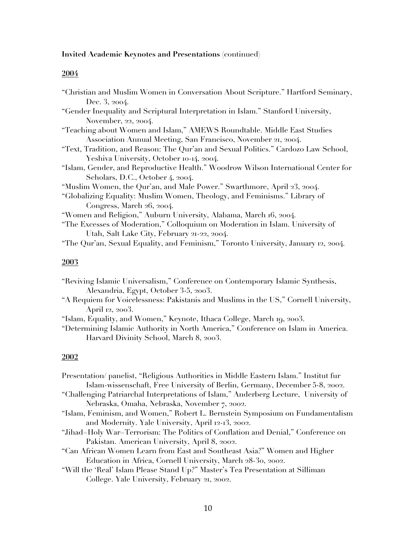## **2004**

| "Christian and Muslim Women in Conversation About Scripture." Hartford Seminary,   |
|------------------------------------------------------------------------------------|
| Dec. 3, 2004.                                                                      |
| "Gender Inequality and Scriptural Interpretation in Islam." Stanford University,   |
| November, 22, 2004.                                                                |
| "Teaching about Women and Islam," AMEWS Roundtable. Middle East Studies            |
| Association Annual Meeting, San Francisco, November 21, 2004.                      |
| "Text, Tradition, and Reason: The Qur'an and Sexual Politics." Cardozo Law School, |
| Yeshiva University, October 10-14, 2004.                                           |
| "Islam, Gender, and Reproductive Health." Woodrow Wilson International Center for  |
| Scholars, D.C., October 4, 2004.                                                   |
| "Muslim Women, the Qur'an, and Male Power." Swarthmore, April 23, 2004.            |
| "Globalizing Equality: Muslim Women, Theology, and Feminisms." Library of          |
| Congress, March 26, 2004.                                                          |
| "Women and Religion," Auburn University, Alabama, March 16, 2004.                  |
| "The Excesses of Moderation," Colloquium on Moderation in Islam. University of     |
| Utah, Salt Lake City, February 21-22, 2004.                                        |
| "The Qur'an, Sexual Equality, and Feminism," Toronto University, January 12, 2004. |
|                                                                                    |

# **2003**

| "Reviving Islamic Universalism," Conference on Contemporary Islamic Synthesis, |  |
|--------------------------------------------------------------------------------|--|
| Alexandria, Egypt, October 3-5, 2003.                                          |  |

- "A Requiem for Voicelessness: Pakistanis and Muslims in the US," Cornell University, April 12, 2003.
- "Islam, Equality, and Women," Keynote, Ithaca College, March 19, 2003.

"Determining Islamic Authority in North America," Conference on Islam in America. Harvard Divinity School, March 8, 2003.

# **2002**

| Presentation/ panelist, "Religious Authorities in Middle Eastern Islam." Institut fur |
|---------------------------------------------------------------------------------------|
| Islam-wissenschaft, Free University of Berlin, Germany, December 5-8, 2002.           |
| "Challenging Patriarchal Interpretations of Islam," Anderberg Lecture, University of  |
| Nebraska, Omaha, Nebraska, November 7, 2002.                                          |
| "Islam, Feminism, and Women," Robert L. Bernstein Symposium on Fundamentalism         |
| and Modernity. Yale University, April 12-13, 2002.                                    |
| "Jihad=Holy War=Terrorism: The Politics of Conflation and Denial," Conference on      |
| Pakistan. American University, April 8, 2002.                                         |
| "Can African Women Learn from East and Southeast Asia?" Women and Higher              |
| Education in Africa, Cornell University, March 28-30, 2002.                           |
| "Will the 'Real' Islam Please Stand Up?" Master's Tea Presentation at Silliman        |
|                                                                                       |

College. Yale University, February 21, 2002.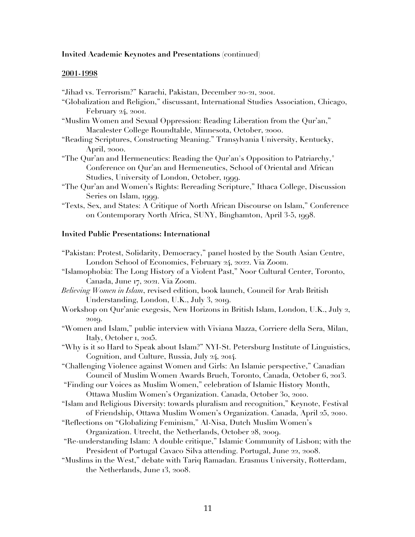#### **2001-1998**

- "Jihad vs. Terrorism?" Karachi, Pakistan, December 20-21, 2001.
- "Globalization and Religion," discussant, International Studies Association, Chicago, February 24, 2001.
- "Muslim Women and Sexual Oppression: Reading Liberation from the Qur'an," Macalester College Roundtable, Minnesota, October, 2000.
- "Reading Scriptures, Constructing Meaning." Transylvania University, Kentucky, April, 2000.
- "The Qur'an and Hermeneutics: Reading the Qur'an's Opposition to Patriarchy," Conference on Qur'an and Hermeneutics, School of Oriental and African Studies, University of London, October, 1999.
- "The Qur'an and Women's Rights: Rereading Scripture," Ithaca College, Discussion Series on Islam, 1999.
- "Texts, Sex, and States: A Critique of North African Discourse on Islam," Conference on Contemporary North Africa, SUNY, Binghamton, April 3-5, 1998.

## **Invited Public Presentations: International**

| "Pakistan: Protest, Solidarity, Democracy," panel hosted by the South Asian Centre,    |
|----------------------------------------------------------------------------------------|
| London School of Economics, February 24, 2022. Via Zoom.                               |
| "Islamophobia: The Long History of a Violent Past," Noor Cultural Center, Toronto,     |
| Canada, June 17, 2021. Via Zoom.                                                       |
| Believing Women in Islam, revised edition, book launch, Council for Arab British       |
| Understanding, London, U.K., July 3, 2019.                                             |
| Workshop on Qur'anic exegesis, New Horizons in British Islam, London, U.K., July 2,    |
| 2019.                                                                                  |
| "Women and Islam," public interview with Viviana Mazza, Corriere della Sera, Milan,    |
| Italy, October 1, 2015.                                                                |
| "Why is it so Hard to Speak about Islam?" NYI-St. Petersburg Institute of Linguistics, |
| Cognition, and Culture, Russia, July 24, 2014.                                         |
| "Challenging Violence against Women and Girls: An Islamic perspective," Canadian       |
| Council of Muslim Women Awards Bruch, Toronto, Canada, October 6, 2013.                |
| "Finding our Voices as Muslim Women," celebration of Islamic History Month,            |
| Ottawa Muslim Women's Organization. Canada, October 30, 2010.                          |
| "Islam and Religious Diversity: towards pluralism and recognition," Keynote, Festival  |
| of Friendship, Ottawa Muslim Women's Organization. Canada, April 25, 2010.             |
| "Reflections on "Globalizing Feminism," Al-Nisa, Dutch Muslim Women's                  |
| Organization. Utrecht, the Netherlands, October 28, 2009.                              |
| "Re-understanding Islam: A double critique," Islamic Community of Lisbon; with the     |
| President of Portugal Cavaco Silva attending. Portugal, June 22, 2008.                 |
| "Muslims in the West," debate with Tariq Ramadan. Erasmus University, Rotterdam,       |
|                                                                                        |

the Netherlands, June 13, 2008.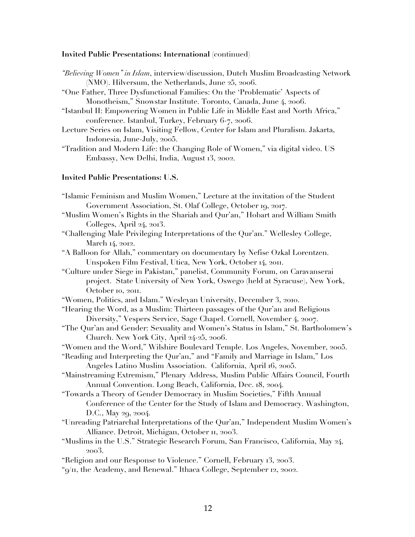#### **Invited Public Presentations: International** (continued)

- *"Believing Women" in Islam*, interview/discussion, Dutch Muslim Broadcasting Network (NMO). Hilversum, the Netherlands, June 25, 2006.
- "One Father, Three Dysfunctional Families: On the 'Problematic' Aspects of Monotheism," Snowstar Institute. Toronto, Canada, June 4, 2006.
- "Istanbul II: Empowering Women in Public Life in Middle East and North Africa," conference. Istanbul, Turkey, February 6-7, 2006.
- Lecture Series on Islam, Visiting Fellow, Center for Islam and Pluralism. Jakarta, Indonesia, June-July, 2005.
- "Tradition and Modern Life: the Changing Role of Women," via digital video. US Embassy, New Delhi, India, August 13, 2002.

## **Invited Public Presentations: U.S.**

- "Islamic Feminism and Muslim Women," Lecture at the invitation of the Student Government Association, St. Olaf College, October 19, 2017.
- "Muslim Women's Rights in the Shariah and Qur'an," Hobart and William Smith Colleges, April 24, 2013.
- "Challenging Male Privileging Interpretations of the Qur'an." Wellesley College, March 14, 2012.
- "A Balloon for Allah," commentary on documentary by Nefise Ozkal Lorentzen. Unspoken Film Festival, Utica, New York, October 14, 2011.

"Culture under Siege in Pakistan," panelist, Community Forum, on Caravanserai project. State University of New York, Oswego (held at Syracuse), New York, October 10, 2011.

- "Women, Politics, and Islam." Wesleyan University, December 3, 2010.
- "Hearing the Word, as a Muslim: Thirteen passages of the Qur'an and Religious Diversity," Vespers Service, Sage Chapel. Cornell, November 4, 2007.
- "The Qur'an and Gender: Sexuality and Women's Status in Islam," St. Bartholomew's Church. New York City, April 24-25, 2006.
- "Women and the Word," Wilshire Boulevard Temple. Los Angeles, November, 2005.

"Reading and Interpreting the Qur'an," and "Family and Marriage in Islam," Los Angeles Latino Muslim Association. California, April 16, 2005.

- "Mainstreaming Extremism," Plenary Address, Muslim Public Affairs Council, Fourth Annual Convention. Long Beach, California, Dec. 18, 2004.
- "Towards a Theory of Gender Democracy in Muslim Societies," Fifth Annual Conference of the Center for the Study of Islam and Democracy. Washington, D.C., May 29, 2004.
- "Unreading Patriarchal Interpretations of the Qur'an," Independent Muslim Women's Alliance. Detroit, Michigan, October 11, 2003.
- "Muslims in the U.S." Strategic Research Forum, San Francisco, California, May 24, 2003.

"Religion and our Response to Violence." Cornell, February 13, 2003.

"9/11, the Academy, and Renewal." Ithaca College, September 12, 2002.